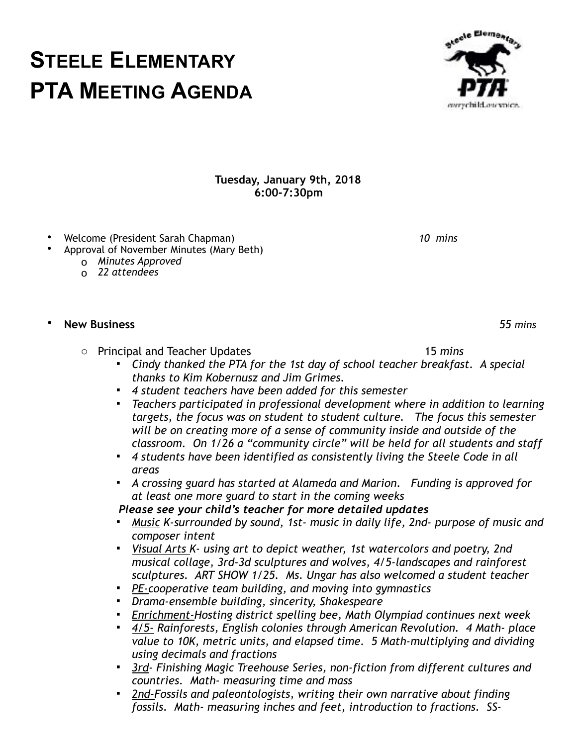## **Tuesday, January 9th, 2018 6:00-7:30pm**

- Welcome (President Sarah Chapman) *10 mins*
- Approval of November Minutes (Mary Beth)
	- o *Minutes Approved*
	- o *22 attendees*

## • **New Business** *55 mins*

- o Principal and Teacher Updates 15 *mins* 
	- *Cindy thanked the PTA for the 1st day of school teacher breakfast. A special thanks to Kim Kobernusz and Jim Grimes.*
	- *4 student teachers have been added for this semester*
	- *Teachers participated in professional development where in addition to learning targets, the focus was on student to student culture. The focus this semester will be on creating more of a sense of community inside and outside of the classroom. On 1/26 a "community circle" will be held for all students and staff*
	- *4 students have been identified as consistently living the Steele Code in all areas*
	- *A crossing guard has started at Alameda and Marion. Funding is approved for at least one more guard to start in the coming weeks*

 *Please see your child's teacher for more detailed updates*

- *Music K-surrounded by sound, 1st- music in daily life, 2nd- purpose of music and composer intent*
- *Visual Arts K- using art to depict weather, 1st watercolors and poetry, 2nd musical collage, 3rd-3d sculptures and wolves, 4/5-landscapes and rainforest sculptures. ART SHOW 1/25. Ms. Ungar has also welcomed a student teacher*
- *PE-cooperative team building, and moving into gymnastics*
- *Drama-ensemble building, sincerity, Shakespeare*
- *Enrichment-Hosting district spelling bee, Math Olympiad continues next week*
- *4/5- Rainforests, English colonies through American Revolution. 4 Math- place value to 10K, metric units, and elapsed time. 5 Math-multiplying and dividing using decimals and fractions*
- **Example 7 Finishing Magic Treehouse Series, non-fiction from different cultures and** *countries. Math- measuring time and mass*
- **2nd-Fossils and paleontologists, writing their own narrative about finding** *fossils. Math- measuring inches and feet, introduction to fractions. SS-*

**STEELE ELEMENTARY PTA MEETING AGENDA** everychild.ousynice.

atecle Elementar